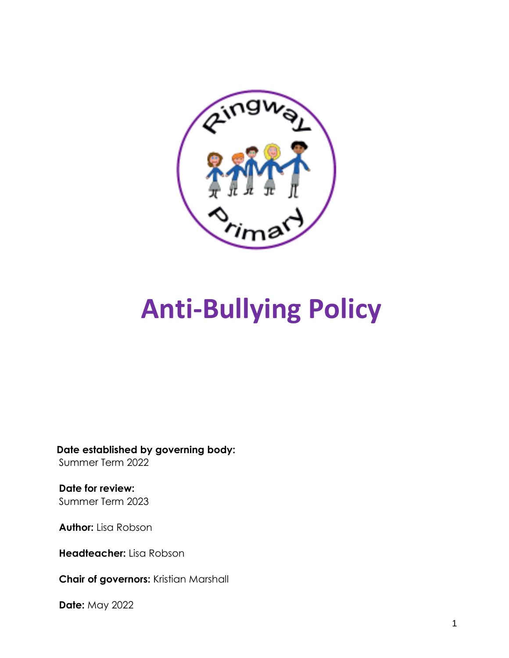

# **Anti-Bullying Policy**

**Date established by governing body:** Summer Term 2022

**Date for review:** Summer Term 2023

**Author:** Lisa Robson

**Headteacher:** Lisa Robson

**Chair of governors:** Kristian Marshall

**Date:** May 2022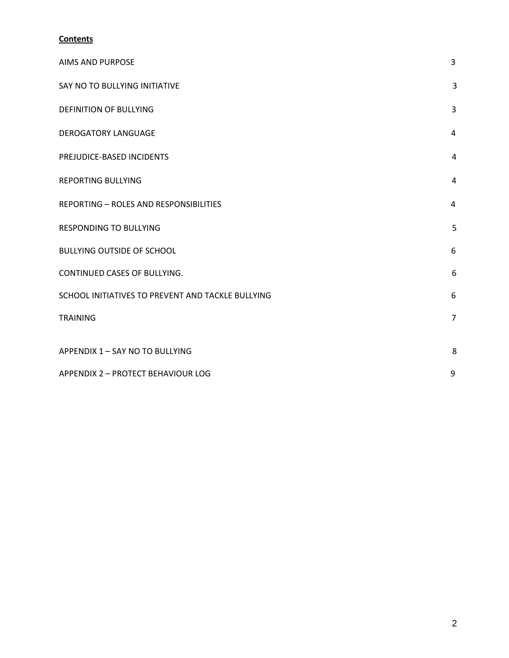### **Contents**

| <b>AIMS AND PURPOSE</b>                           | 3              |
|---------------------------------------------------|----------------|
| SAY NO TO BULLYING INITIATIVE                     | 3              |
| <b>DEFINITION OF BULLYING</b>                     | 3              |
| <b>DEROGATORY LANGUAGE</b>                        | 4              |
| PREJUDICE-BASED INCIDENTS                         | 4              |
| <b>REPORTING BULLYING</b>                         | $\overline{4}$ |
| <b>REPORTING - ROLES AND RESPONSIBILITIES</b>     | 4              |
| <b>RESPONDING TO BULLYING</b>                     | 5              |
| <b>BULLYING OUTSIDE OF SCHOOL</b>                 | 6              |
| CONTINUED CASES OF BULLYING.                      | 6              |
| SCHOOL INITIATIVES TO PREVENT AND TACKLE BULLYING | 6              |
| <b>TRAINING</b>                                   | $\overline{7}$ |
| APPENDIX 1 - SAY NO TO BULLYING                   | 8              |
| APPENDIX 2 - PROTECT BEHAVIOUR LOG                | 9              |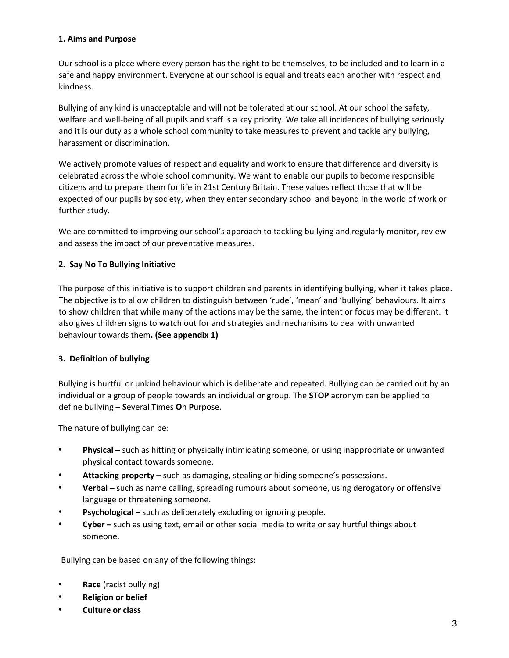#### **1. Aims and Purpose**

Our school is a place where every person has the right to be themselves, to be included and to learn in a safe and happy environment. Everyone at our school is equal and treats each another with respect and kindness.

Bullying of any kind is unacceptable and will not be tolerated at our school. At our school the safety, welfare and well-being of all pupils and staff is a key priority. We take all incidences of bullying seriously and it is our duty as a whole school community to take measures to prevent and tackle any bullying, harassment or discrimination.

We actively promote values of respect and equality and work to ensure that difference and diversity is celebrated across the whole school community. We want to enable our pupils to become responsible citizens and to prepare them for life in 21st Century Britain. These values reflect those that will be expected of our pupils by society, when they enter secondary school and beyond in the world of work or further study.

We are committed to improving our school's approach to tackling bullying and regularly monitor, review and assess the impact of our preventative measures.

#### **2. Say No To Bullying Initiative**

The purpose of this initiative is to support children and parents in identifying bullying, when it takes place. The objective is to allow children to distinguish between 'rude', 'mean' and 'bullying' behaviours. It aims to show children that while many of the actions may be the same, the intent or focus may be different. It also gives children signs to watch out for and strategies and mechanisms to deal with unwanted behaviour towards them**. (See appendix 1)** 

#### **3. Definition of bullying**

Bullying is hurtful or unkind behaviour which is deliberate and repeated. Bullying can be carried out by an individual or a group of people towards an individual or group. The **STOP** acronym can be applied to define bullying – **S**everal **T**imes **O**n **P**urpose.

The nature of bullying can be:

- Physical such as hitting or physically intimidating someone, or using inappropriate or unwanted physical contact towards someone.
- **Attacking property –** such as damaging, stealing or hiding someone's possessions.
- **Verbal –** such as name calling, spreading rumours about someone, using derogatory or offensive language or threatening someone.
- **Psychological –** such as deliberately excluding or ignoring people.
- **Cyber –** such as using text, email or other social media to write or say hurtful things about someone.

Bullying can be based on any of the following things:

- **Race** (racist bullying)
- **Religion or belief**
- **Culture or class**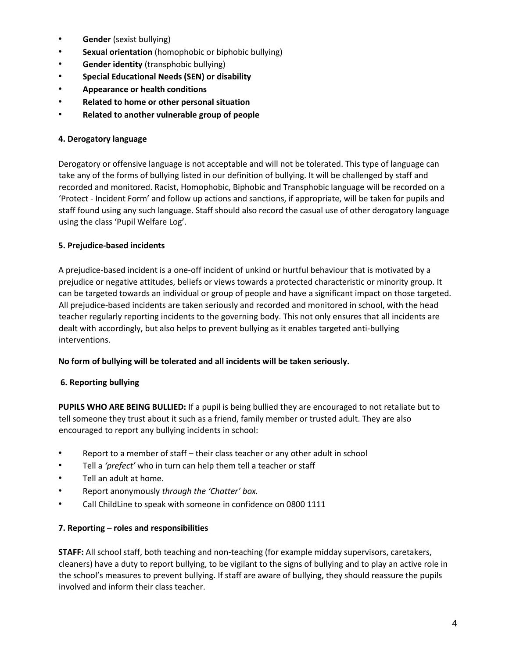- **Gender** (sexist bullying)
- **Sexual orientation** (homophobic or biphobic bullying)
- **Gender identity** (transphobic bullying)
- **Special Educational Needs (SEN) or disability**
- **Appearance or health conditions**
- **Related to home or other personal situation**
- **Related to another vulnerable group of people**

#### **4. Derogatory language**

Derogatory or offensive language is not acceptable and will not be tolerated. This type of language can take any of the forms of bullying listed in our definition of bullying. It will be challenged by staff and recorded and monitored. Racist, Homophobic, Biphobic and Transphobic language will be recorded on a 'Protect - Incident Form' and follow up actions and sanctions, if appropriate, will be taken for pupils and staff found using any such language. Staff should also record the casual use of other derogatory language using the class 'Pupil Welfare Log'.

#### **5. Prejudice-based incidents**

A prejudice-based incident is a one-off incident of unkind or hurtful behaviour that is motivated by a prejudice or negative attitudes, beliefs or views towards a protected characteristic or minority group. It can be targeted towards an individual or group of people and have a significant impact on those targeted. All prejudice-based incidents are taken seriously and recorded and monitored in school, with the head teacher regularly reporting incidents to the governing body. This not only ensures that all incidents are dealt with accordingly, but also helps to prevent bullying as it enables targeted anti-bullying interventions.

#### **No form of bullying will be tolerated and all incidents will be taken seriously.**

#### **6. Reporting bullying**

**PUPILS WHO ARE BEING BULLIED:** If a pupil is being bullied they are encouraged to not retaliate but to tell someone they trust about it such as a friend, family member or trusted adult. They are also encouraged to report any bullying incidents in school:

- Report to a member of staff their class teacher or any other adult in school
- Tell a *'prefect'* who in turn can help them tell a teacher or staff
- Tell an adult at home.
- Report anonymously *through the 'Chatter' box.*
- Call ChildLine to speak with someone in confidence on 0800 1111

#### **7. Reporting – roles and responsibilities**

**STAFF:** All school staff, both teaching and non-teaching (for example midday supervisors, caretakers, cleaners) have a duty to report bullying, to be vigilant to the signs of bullying and to play an active role in the school's measures to prevent bullying. If staff are aware of bullying, they should reassure the pupils involved and inform their class teacher.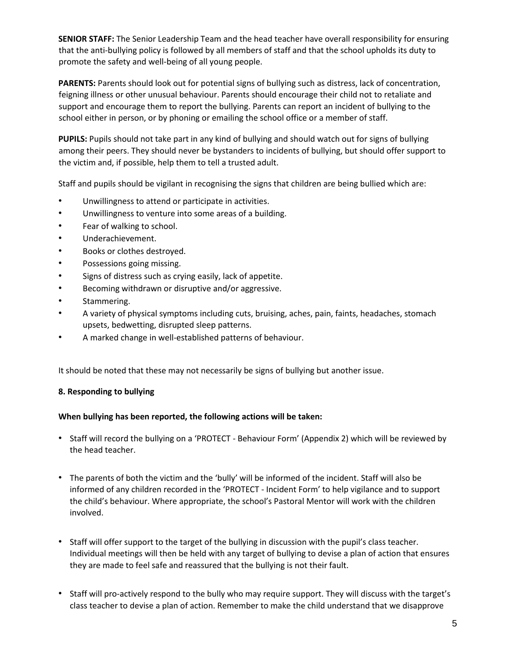**SENIOR STAFF:** The Senior Leadership Team and the head teacher have overall responsibility for ensuring that the anti-bullying policy is followed by all members of staff and that the school upholds its duty to promote the safety and well-being of all young people.

**PARENTS:** Parents should look out for potential signs of bullying such as distress, lack of concentration, feigning illness or other unusual behaviour. Parents should encourage their child not to retaliate and support and encourage them to report the bullying. Parents can report an incident of bullying to the school either in person, or by phoning or emailing the school office or a member of staff.

**PUPILS:** Pupils should not take part in any kind of bullying and should watch out for signs of bullying among their peers. They should never be bystanders to incidents of bullying, but should offer support to the victim and, if possible, help them to tell a trusted adult.

Staff and pupils should be vigilant in recognising the signs that children are being bullied which are:

- Unwillingness to attend or participate in activities.
- Unwillingness to venture into some areas of a building.
- Fear of walking to school.
- Underachievement.
- Books or clothes destroyed.
- Possessions going missing.
- Signs of distress such as crying easily, lack of appetite.
- Becoming withdrawn or disruptive and/or aggressive.
- Stammering.
- A variety of physical symptoms including cuts, bruising, aches, pain, faints, headaches, stomach upsets, bedwetting, disrupted sleep patterns.
- A marked change in well-established patterns of behaviour.

It should be noted that these may not necessarily be signs of bullying but another issue.

#### **8. Responding to bullying**

#### **When bullying has been reported, the following actions will be taken:**

- Staff will record the bullying on a 'PROTECT Behaviour Form' (Appendix 2) which will be reviewed by the head teacher.
- The parents of both the victim and the 'bully' will be informed of the incident. Staff will also be informed of any children recorded in the 'PROTECT - Incident Form' to help vigilance and to support the child's behaviour. Where appropriate, the school's Pastoral Mentor will work with the children involved.
- Staff will offer support to the target of the bullying in discussion with the pupil's class teacher. Individual meetings will then be held with any target of bullying to devise a plan of action that ensures they are made to feel safe and reassured that the bullying is not their fault.
- Staff will pro-actively respond to the bully who may require support. They will discuss with the target's class teacher to devise a plan of action. Remember to make the child understand that we disapprove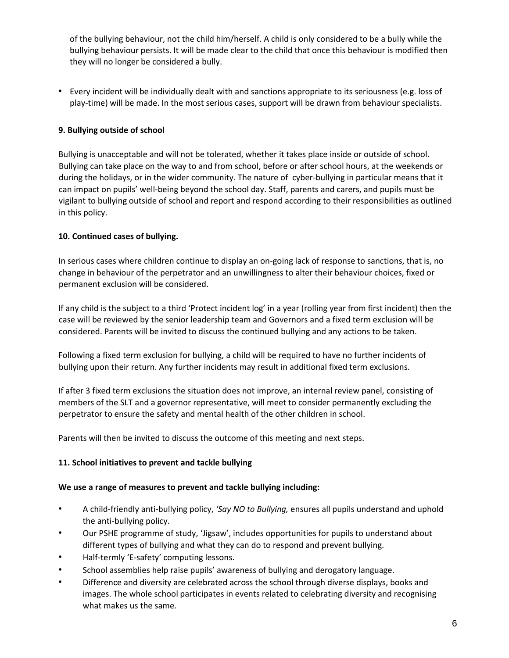of the bullying behaviour, not the child him/herself. A child is only considered to be a bully while the bullying behaviour persists. It will be made clear to the child that once this behaviour is modified then they will no longer be considered a bully.

• Every incident will be individually dealt with and sanctions appropriate to its seriousness (e.g. loss of play-time) will be made. In the most serious cases, support will be drawn from behaviour specialists.

#### **9. Bullying outside of school**

Bullying is unacceptable and will not be tolerated, whether it takes place inside or outside of school. Bullying can take place on the way to and from school, before or after school hours, at the weekends or during the holidays, or in the wider community. The nature of cyber-bullying in particular means that it can impact on pupils' well-being beyond the school day. Staff, parents and carers, and pupils must be vigilant to bullying outside of school and report and respond according to their responsibilities as outlined in this policy.

#### **10. Continued cases of bullying.**

In serious cases where children continue to display an on-going lack of response to sanctions, that is, no change in behaviour of the perpetrator and an unwillingness to alter their behaviour choices, fixed or permanent exclusion will be considered.

If any child is the subject to a third 'Protect incident log' in a year (rolling year from first incident) then the case will be reviewed by the senior leadership team and Governors and a fixed term exclusion will be considered. Parents will be invited to discuss the continued bullying and any actions to be taken.

Following a fixed term exclusion for bullying, a child will be required to have no further incidents of bullying upon their return. Any further incidents may result in additional fixed term exclusions.

If after 3 fixed term exclusions the situation does not improve, an internal review panel, consisting of members of the SLT and a governor representative, will meet to consider permanently excluding the perpetrator to ensure the safety and mental health of the other children in school.

Parents will then be invited to discuss the outcome of this meeting and next steps.

#### **11. School initiatives to prevent and tackle bullying**

#### **We use a range of measures to prevent and tackle bullying including:**

- A child-friendly anti-bullying policy, *'Say NO to Bullying,* ensures all pupils understand and uphold the anti-bullying policy.
- Our PSHE programme of study, 'Jigsaw', includes opportunities for pupils to understand about different types of bullying and what they can do to respond and prevent bullying.
- Half-termly 'E-safety' computing lessons.
- School assemblies help raise pupils' awareness of bullying and derogatory language.
- Difference and diversity are celebrated across the school through diverse displays, books and images. The whole school participates in events related to celebrating diversity and recognising what makes us the same*.*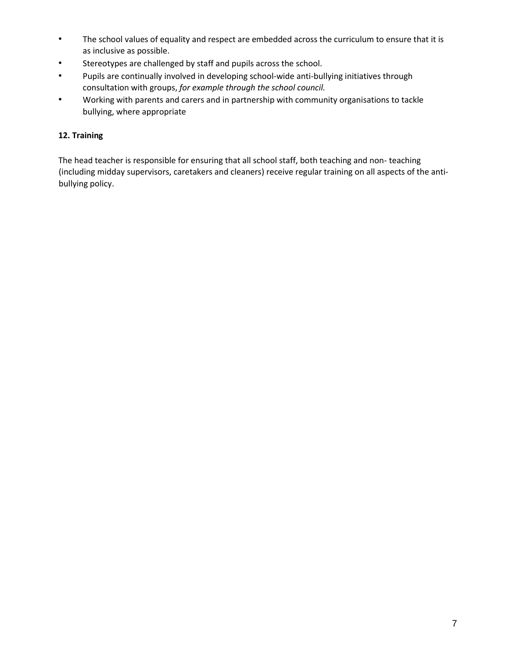- The school values of equality and respect are embedded across the curriculum to ensure that it is as inclusive as possible.
- Stereotypes are challenged by staff and pupils across the school.
- Pupils are continually involved in developing school-wide anti-bullying initiatives through consultation with groups, *for example through the school council.*
- Working with parents and carers and in partnership with community organisations to tackle bullying, where appropriate

#### **12. Training**

The head teacher is responsible for ensuring that all school staff, both teaching and non- teaching (including midday supervisors, caretakers and cleaners) receive regular training on all aspects of the antibullying policy.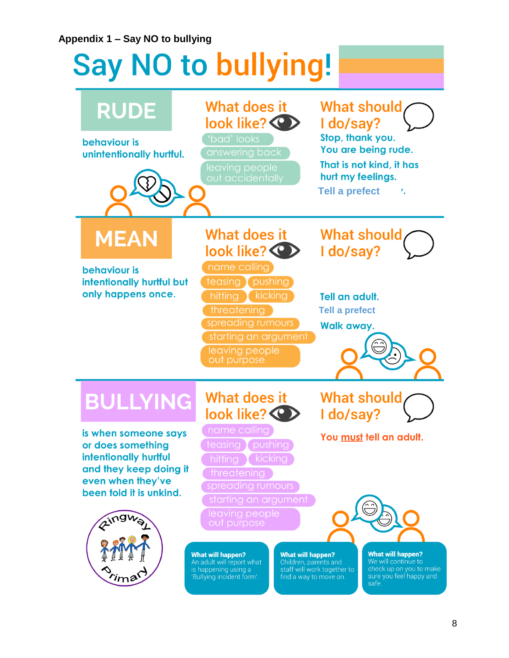## **Appendix 1 – Say NO to bullying**

# **Say NO to bullying!**